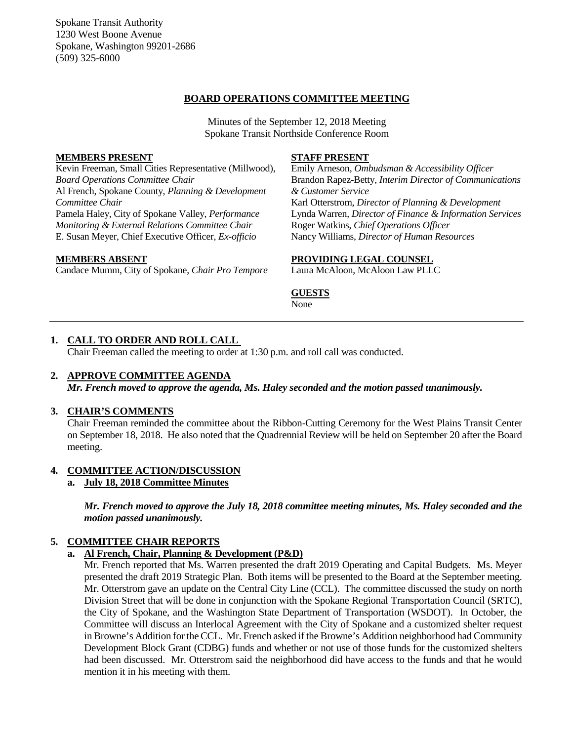Spokane Transit Authority 1230 West Boone Avenue Spokane, Washington 99201-2686 (509) 325-6000

## **BOARD OPERATIONS COMMITTEE MEETING**

Minutes of the September 12, 2018 Meeting Spokane Transit Northside Conference Room

### **MEMBERS PRESENT**

Kevin Freeman, Small Cities Representative (Millwood), *Board Operations Committee Chair* Al French, Spokane County, *Planning & Development Committee Chair* Pamela Haley, City of Spokane Valley, *Performance Monitoring & External Relations Committee Chair* E. Susan Meyer, Chief Executive Officer, *Ex-officio*

## **MEMBERS ABSENT**

Candace Mumm, City of Spokane, *Chair Pro Tempore*

#### **STAFF PRESENT**

Emily Arneson, *Ombudsman & Accessibility Officer* Brandon Rapez-Betty, *Interim Director of Communications & Customer Service* Karl Otterstrom, *Director of Planning & Development* Lynda Warren, *Director of Finance & Information Services* Roger Watkins, *Chief Operations Officer* Nancy Williams, *Director of Human Resources*

#### **PROVIDING LEGAL COUNSEL**

Laura McAloon, McAloon Law PLLC

### **GUESTS**

None

## **1. CALL TO ORDER AND ROLL CALL**

Chair Freeman called the meeting to order at 1:30 p.m. and roll call was conducted.

#### **2. APPROVE COMMITTEE AGENDA**

*Mr. French moved to approve the agenda, Ms. Haley seconded and the motion passed unanimously.*

#### **3. CHAIR'S COMMENTS**

Chair Freeman reminded the committee about the Ribbon-Cutting Ceremony for the West Plains Transit Center on September 18, 2018. He also noted that the Quadrennial Review will be held on September 20 after the Board meeting.

## **4. COMMITTEE ACTION/DISCUSSION**

## **a. July 18, 2018 Committee Minutes**

*Mr. French moved to approve the July 18, 2018 committee meeting minutes, Ms. Haley seconded and the motion passed unanimously.*

## **5. COMMITTEE CHAIR REPORTS**

#### **a. Al French, Chair, Planning & Development (P&D)**

Mr. French reported that Ms. Warren presented the draft 2019 Operating and Capital Budgets. Ms. Meyer presented the draft 2019 Strategic Plan. Both items will be presented to the Board at the September meeting. Mr. Otterstrom gave an update on the Central City Line (CCL). The committee discussed the study on north Division Street that will be done in conjunction with the Spokane Regional Transportation Council (SRTC), the City of Spokane, and the Washington State Department of Transportation (WSDOT). In October, the Committee will discuss an Interlocal Agreement with the City of Spokane and a customized shelter request in Browne's Addition for the CCL. Mr. French asked if the Browne's Addition neighborhood had Community Development Block Grant (CDBG) funds and whether or not use of those funds for the customized shelters had been discussed. Mr. Otterstrom said the neighborhood did have access to the funds and that he would mention it in his meeting with them.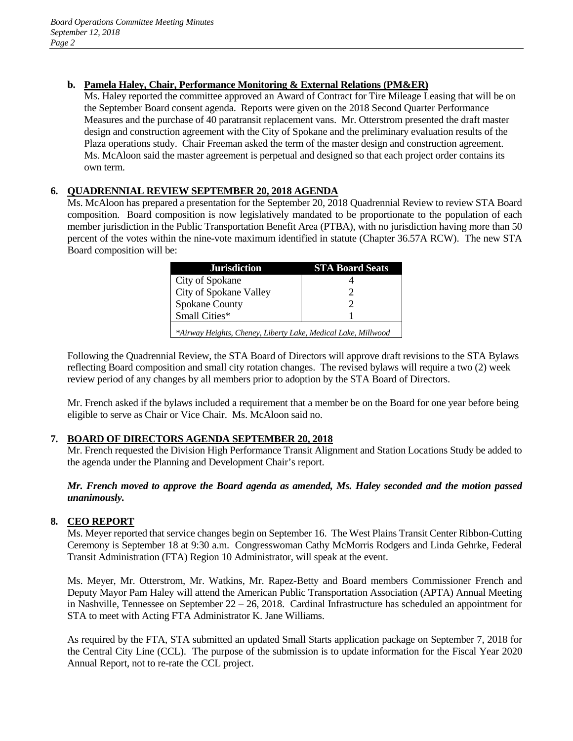## **b. Pamela Haley, Chair, Performance Monitoring & External Relations (PM&ER)**

Ms. Haley reported the committee approved an Award of Contract for Tire Mileage Leasing that will be on the September Board consent agenda. Reports were given on the 2018 Second Quarter Performance Measures and the purchase of 40 paratransit replacement vans. Mr. Otterstrom presented the draft master design and construction agreement with the City of Spokane and the preliminary evaluation results of the Plaza operations study. Chair Freeman asked the term of the master design and construction agreement. Ms. McAloon said the master agreement is perpetual and designed so that each project order contains its own term.

# **6. QUADRENNIAL REVIEW SEPTEMBER 20, 2018 AGENDA**

Ms. McAloon has prepared a presentation for the September 20, 2018 Quadrennial Review to review STA Board composition. Board composition is now legislatively mandated to be proportionate to the population of each member jurisdiction in the Public Transportation Benefit Area (PTBA), with no jurisdiction having more than 50 percent of the votes within the nine-vote maximum identified in statute (Chapter 36.57A RCW). The new STA Board composition will be:

| Jurisdiction                                                  | <b>STA Board Seats</b> |
|---------------------------------------------------------------|------------------------|
| City of Spokane                                               |                        |
| City of Spokane Valley                                        |                        |
| <b>Spokane County</b>                                         |                        |
| Small Cities*                                                 |                        |
| *Airway Heights, Cheney, Liberty Lake, Medical Lake, Millwood |                        |

Following the Quadrennial Review, the STA Board of Directors will approve draft revisions to the STA Bylaws reflecting Board composition and small city rotation changes. The revised bylaws will require a two (2) week review period of any changes by all members prior to adoption by the STA Board of Directors.

Mr. French asked if the bylaws included a requirement that a member be on the Board for one year before being eligible to serve as Chair or Vice Chair. Ms. McAloon said no.

## **7. BOARD OF DIRECTORS AGENDA SEPTEMBER 20, 2018**

Mr. French requested the Division High Performance Transit Alignment and Station Locations Study be added to the agenda under the Planning and Development Chair's report.

## *Mr. French moved to approve the Board agenda as amended, Ms. Haley seconded and the motion passed unanimously.*

# **8. CEO REPORT**

Ms. Meyer reported that service changes begin on September 16. The West Plains Transit Center Ribbon-Cutting Ceremony is September 18 at 9:30 a.m. Congresswoman Cathy McMorris Rodgers and Linda Gehrke, Federal Transit Administration (FTA) Region 10 Administrator, will speak at the event.

Ms. Meyer, Mr. Otterstrom, Mr. Watkins, Mr. Rapez-Betty and Board members Commissioner French and Deputy Mayor Pam Haley will attend the American Public Transportation Association (APTA) Annual Meeting in Nashville, Tennessee on September 22 – 26, 2018. Cardinal Infrastructure has scheduled an appointment for STA to meet with Acting FTA Administrator K. Jane Williams.

As required by the FTA, STA submitted an updated Small Starts application package on September 7, 2018 for the Central City Line (CCL). The purpose of the submission is to update information for the Fiscal Year 2020 Annual Report, not to re-rate the CCL project.